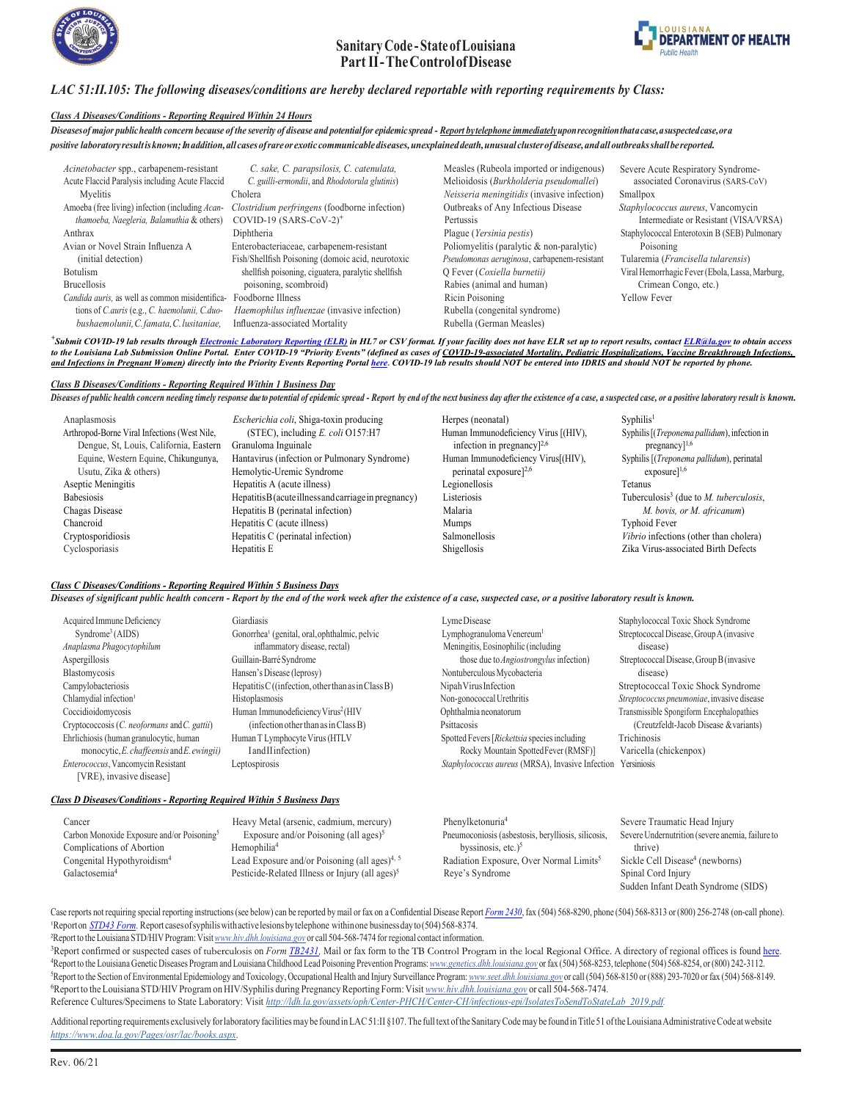



### *LAC 51:II.105: The following diseases/conditions are hereby declared reportable with reporting requirements by Class:*

#### *Class A Diseases/Conditions - Reporting Required Within 24 Hours*

Diseases of major public health concern because of the severity of disease and potential for epidemic spread - Report by telephone immediately upon recognition thata case, a suspected case, or a *positive laboratoryresultisknown;Inaddition,allcasesofrareorexotic communicablediseases,unexplaineddeath,unusualclusterofdisease,andall outbreaksshallbereported.*

| Acinetobacter spp., carbapenem-resistant                          | C. sake, C. parapsilosis, C. catenulata,            | Measles (Rubeola imported or indigenous)     | Severe Acute Respiratory Syndrome-              |  |
|-------------------------------------------------------------------|-----------------------------------------------------|----------------------------------------------|-------------------------------------------------|--|
| Acute Flaccid Paralysis including Acute Flaccid                   | C. guilli-ermondii, and Rhodotorula glutinis)       | Melioidosis (Burkholderia pseudomallei)      | associated Coronavirus (SARS-CoV)               |  |
| Mvelitis                                                          | Cholera                                             | Neisseria meningitidis (invasive infection)  | Smallpox                                        |  |
| Amoeba (free living) infection (including Acan-                   | Clostridium perfringens (foodborne infection)       | Outbreaks of Any Infectious Disease          | Staphylococcus aureus, Vancomycin               |  |
| thamoeba, Naegleria, Balamuthia & others)                         | $COVID-19$ (SARS-CoV-2) <sup>+</sup>                | Pertussis                                    | Intermediate or Resistant (VISA/VRSA)           |  |
| Anthrax                                                           | Diphtheria                                          | Plague (Yersinia pestis)                     | Staphylococcal Enterotoxin B (SEB) Pulmonary    |  |
| Avian or Novel Strain Influenza A                                 | Enterobacteriaceae, carbapenem-resistant            | Poliomyelitis (paralytic & non-paralytic)    | Poisoning                                       |  |
| (initial detection)                                               | Fish/Shellfish Poisoning (domoic acid, neurotoxic   | Pseudomonas aeruginosa, carbapenem-resistant | Tularemia (Francisella tularensis)              |  |
| Botulism                                                          | shellfish poisoning, ciguatera, paralytic shellfish | O Fever (Coxiella burnetii)                  | Viral Hemorrhagic Fever (Ebola, Lassa, Marburg, |  |
| <b>Brucellosis</b>                                                | poisoning, scombroid)                               | Rabies (animal and human)                    | Crimean Congo, etc.)                            |  |
| Candida auris, as well as common misidentifica- Foodborne Illness |                                                     | Ricin Poisoning                              | <b>Yellow Fever</b>                             |  |
| tions of C.auris (e.g., C. haemolunii, C.duo-                     | Haemophilus influenzae (invasive infection)         | Rubella (congenital syndrome)                |                                                 |  |
| bushaemolunii, C. famata, C. lusitaniae,                          | Influenza-associated Mortality                      | Rubella (German Measles)                     |                                                 |  |

<sup>+</sup>Submit COVID-19 lab results through <u>[Electronic Laboratory Reporting \(ELR\)](https://ldh.la.gov/assets/oph/Center-CP/HANs/HANS20-45UpdateReportingCOVID-19Results.pdf)</u> in HL7 or CSV format. If your facility does not have ELR set up to report results, contact <u>ELR@la.gov</u> to obtain access to the Louisiana Lab Submission Online Portal. Enter COVID-19 "Priority Events" (defined as cases of COVID-19-associated Mortality, Pediatric Hospitalizations, Vaccine Breakthrough Infections, and Infections in Pregnant Women) directly into the Priority Events Reporting Portal [here](https://laredcap.oph.dhh.la.gov/surveys/?s=NYW8TYETNF). COVID-19 lab results should NOT be entered into IDRIS and should NOT be reported by phone.

#### *Class B Diseases/Conditions - Reporting Required Within 1 Business Day*

Diseases of public health concern needing timely response due to potential of epidemic spread - Report by end of the next business day after the existence of a case, a suspected case, or a positive laboratory result is kno

| Anaplasmosis                                 | Escherichia coli, Shiga-toxin producing               | Herpes (neonatal)                    | Syphilis <sup>1</sup>                                      |
|----------------------------------------------|-------------------------------------------------------|--------------------------------------|------------------------------------------------------------|
| Arthropod-Borne Viral Infections (West Nile, | (STEC), including $E$ . coli O157:H7                  | Human Immunodeficiency Virus [(HIV), | Syphilis [(Treponema pallidum), infection in               |
| Dengue, St, Louis, California, Eastern       | Granuloma Inguinale                                   | infection in pregnancy $]^{2,6}$     | $pregnancy]$ <sup>1,6</sup>                                |
| Equine, Western Equine, Chikungunya,         | Hantavirus (infection or Pulmonary Syndrome)          | Human Immunodeficiency Virus[(HIV),  | Syphilis [(Treponema pallidum), perinatal                  |
| Usutu, Zika & others)                        | Hemolytic-Uremic Syndrome                             | perinatal exposure $]^{2,6}$         | $exposure]^{1,6}$                                          |
| Aseptic Meningitis                           | Hepatitis A (acute illness)                           | Legionellosis                        | Tetanus                                                    |
| <b>Babesiosis</b>                            | Hepatitis B (acute illness and carriage in pregnancy) | Listeriosis                          | Tuberculosis <sup>3</sup> (due to <i>M. tuberculosis</i> , |
| Chagas Disease                               | Hepatitis B (perinatal infection)                     | Malaria                              | M. bovis, or M. africanum)                                 |
| Chancroid                                    | Hepatitis C (acute illness)                           | Mumps                                | Typhoid Fever                                              |
| Cryptosporidiosis                            | Hepatitis C (perinatal infection)                     | Salmonellosis                        | Vibrio infections (other than cholera)                     |
| Cyclosporiasis                               | Hepatitis E                                           | Shigellosis                          | Zika Virus-associated Birth Defects                        |

#### *Class C Diseases/Conditions - Reporting Required Within 5 Business Days*

*Diseases of significant public health concern - Report by the end of the work week after the existence of a case, suspected case, or a positive laboratory result is known.*

| Acquired Immune Deficiency                      | Giardiasis                                                         | LymeDisease                                                  | Staphylococcal Toxic Shock Syndrome        |
|-------------------------------------------------|--------------------------------------------------------------------|--------------------------------------------------------------|--------------------------------------------|
| Symdrome <sup>3</sup> (AIDS)                    | Gonorrhea <sup>1</sup> (genital, oral, ophthalmic, pelvic          | Lymphogranuloma Venereum <sup>1</sup>                        | Streptococcal Disease, Group A (invasive   |
| Anaplasma Phagocytophilum                       | inflammatory disease, rectal)                                      | Meningitis, Eosinophilic (including                          | disease)                                   |
| Aspergillosis                                   | Guillain-Barré Syndrome                                            | those due to <i>Angiostrongylus</i> infection)               | Streptococcal Disease, Group B (invasive   |
| Blastomycosis                                   | Hansen's Disease (leprosy)                                         | Nontuberculous Mycobacteria                                  | disease)                                   |
| Campylobacteriosis                              | Hepatitis $C((\text{infection}, \text{other than as in Class B}))$ | Nipah Virus Infection                                        | Streptococcal Toxic Shock Syndrome         |
| Chlamydial infection <sup>1</sup>               | Histoplasmosis                                                     | Non-gonococcal Urethritis                                    | Streptococcus pneumoniae, invasive disease |
| Coccidioidomycosis                              | Human Immunodeficiency Virus <sup>2</sup> (HIV                     | Ophthalmia neonatorum                                        | Transmissible Spongiform Encephalopathies  |
| Cryptococcosis (C. neoformans and C. gattii)    | (infection other than as in Class B)                               | Psittacosis                                                  | (Creutzfeldt-Jacob Disease & variants)     |
| Ehrlichiosis (human granulocytic, human         | Human T Lymphocyte Virus (HTLV                                     | Spotted Fevers [Rickettsia species including]                | Trichinosis                                |
| monocytic, $E$ . chaffeensis and $E$ . ewingii) | IandIIinfection)                                                   | Rocky Mountain SpottedFever (RMSF)]                          | Varicella (chickenpox)                     |
| Enterococcus, Vancomycin Resistant              | Leptospirosis                                                      | Staphylococcus aureus (MRSA), Invasive Infection Yersiniosis |                                            |
| [VRE), invasive disease]                        |                                                                    |                                                              |                                            |

#### *Class D Diseases/Conditions - Reporting Required Within 5 Business Days*

| Cancer                                                 | Heavy Metal (arsenic, cadmium, mercury)                     | Phenvlketonuria <sup>4</sup>                        | Severe Tra |
|--------------------------------------------------------|-------------------------------------------------------------|-----------------------------------------------------|------------|
| Carbon Monoxide Exposure and/or Poisoning <sup>5</sup> | Exposure and/or Poisoning (all ages) <sup>5</sup>           | Pneumoconiosis (asbestosis, berylliosis, silicosis, | Severe Und |
| Complications of Abortion                              | Hemophilia <sup>4</sup>                                     | byssinosis, etc.) $5$                               | thrive)    |
| Congenital Hypothyroidism <sup>4</sup>                 | Lead Exposure and/or Poisoning (all ages) <sup>4, 5</sup>   | Radiation Exposure, Over Normal Limits <sup>5</sup> | Sickle Cel |
| Galactosemia <sup>4</sup>                              | Pesticide-Related Illness or Injury (all ages) <sup>5</sup> | Reye's Syndrome                                     | Spinal Co  |
|                                                        |                                                             |                                                     | ______     |

Iria<sup>4</sup> Severe Traumatic Head Injury is (asbestosis, berylliosis, silicosis, Severe Undernutrition (severe anemia, failure to posure, Over Normal Limits<sup>5</sup> Sickle Cell Disease<sup>4</sup> (newborns) Frome Spinal Cord Injury Sudden Infant Death Syndrome (SIDS)

Case reports not requiring special reporting instructions (see below) can be reported by mail or fax on a Confidential Disease Report [Form](https://ldh.la.gov/assets/oph/Center-PHCH/Center-CH/infectious-epi/Surveillance/DiseaseReportFormNO.pdf) 2430, fax (504) 568-8290, phone (504) 568-8213 or (800) 256-2748 (on-call phone). <sup>1</sup>Reporton *STD43 Form*. Report cases of syphilis with active lesions by telephone within one business day to (504) 568-8374. ²Report to the Louisiana STD/HIVProgram:Visit*[www.hiv.dhh.louisiana.gov](http://www.hiv.dhh.louisiana.gov/)* or call 504-568-7474 for regional contact information.

<sup>3</sup>Report confirmed or suspected cases of tuberculosis on *Form TB2431*, Mail or fax form to the TB Control Program in the local Regional Office. A directory of regional offices is foun[d here.](https://ldh.la.gov/assets/oph/Center-PHCH/Center-PH/tuber/TBContactListWebsite.pdf) 4 Report to the Louisiana Genetic Diseases Program and LouisianaChildhood Lead Poisoning Prevention Programs:*[www.genetics.dhh.louisiana.gov](http://www.genetics.dhh.louisiana.gov/)* or fax (504) 568-8253, telephone (504) 568-8254, or(800) 242-3112. 5 Report to the Section of Environmental Epidemiology and Toxicology, Occupational Health and Injury Surveillance Program: *[www.seet.dhh.louisiana.gov](http://www.seet.dhh.louisiana.gov/)* or call (504) 568-8150 or (888) 293-7020 or fax (504) 568-8149. 6 Report to theLouisiana STD/HIV Program on HIV/Syphilis during PregnancyReporting Form:Visit *[www.hiv.dhh.louisiana.gov](http://www.hiv.dhh.louisiana.gov/)* or call 504-568-7474. Reference Cultures/Specimens to State Laboratory: Visit *[http://ldh.la.gov/assets/oph/Center-PHCH/Center-CH/infectious-epi/IsolatesToSendToStateLab\\_2019.pdf.](http://ldh.la.gov/assets/oph/Center-PHCH/Center-CH/infectious-epi/IsolatesToSendToStateLab_2019.pdf)*

Additional reporting requirements exclusively for laboratory facilities may be found in LAC 51:II §107. The full text of the Sanitary Code may be found in Title 51 of the Louisiana Administrative Code at website *[https://www.doa.la.gov/Pages/osr/lac/books.aspx](http://www.doa.la.gov/Pages/osr/lac/books.aspx)*.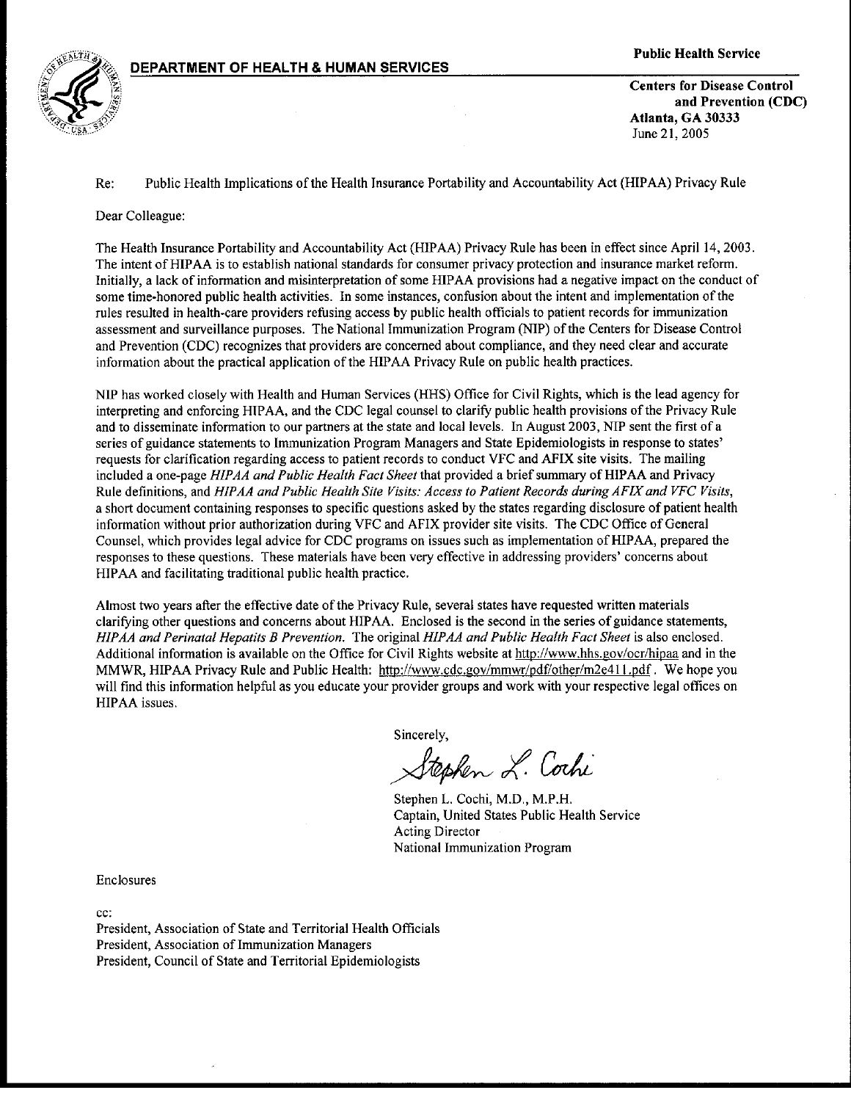

**Centers for Disease Control** and Prevention (CDC) Atlanta. GA 30333 June 21, 2005

Public Health Implications of the Health Insurance Portability and Accountability Act (HIPAA) Privacy Rule Re:

Dear Colleague:

The Health Insurance Portability and Accountability Act (HIPAA) Privacy Rule has been in effect since April 14, 2003. The intent of HIPAA is to establish national standards for consumer privacy protection and insurance market reform. Initially, a lack of information and misinterpretation of some HIPAA provisions had a negative impact on the conduct of some time-honored public health activities. In some instances, confusion about the intent and implementation of the rules resulted in health-care providers refusing access by public health officials to patient records for immunization assessment and surveillance purposes. The National Immunization Program (NIP) of the Centers for Disease Control and Prevention (CDC) recognizes that providers are concerned about compliance, and they need clear and accurate information about the practical application of the HIPAA Privacy Rule on public health practices.

NIP has worked closely with Health and Human Services (HHS) Office for Civil Rights, which is the lead agency for interpreting and enforcing HIPAA, and the CDC legal counsel to clarify public health provisions of the Privacy Rule and to disseminate information to our partners at the state and local levels. In August 2003, NIP sent the first of a series of guidance statements to Immunization Program Managers and State Epidemiologists in response to states' requests for clarification regarding access to patient records to conduct VFC and AFIX site visits. The mailing included a one-page HIPAA and Public Health Fact Sheet that provided a brief summary of HIPAA and Privacy Rule definitions, and HIPAA and Public Health Site Visits: Access to Patient Records during AFIX and VFC Visits, a short document containing responses to specific questions asked by the states regarding disclosure of patient health information without prior authorization during VFC and AFIX provider site visits. The CDC Office of General Counsel, which provides legal advice for CDC programs on issues such as implementation of HIPAA, prepared the responses to these questions. These materials have been very effective in addressing providers' concerns about HIPAA and facilitating traditional public health practice.

Almost two years after the effective date of the Privacy Rule, several states have requested written materials clarifying other questions and concerns about HIPAA. Enclosed is the second in the series of guidance statements, HIPAA and Perinatal Hepatits B Prevention. The original HIPAA and Public Health Fact Sheet is also enclosed. Additional information is available on the Office for Civil Rights website at http://www.hhs.gov/ocr/hipaa and in the MMWR, HIPAA Privacy Rule and Public Health: http://www.cdc.gov/mmwr/pdf/other/m2e411.pdf. We hope you will find this information helpful as you educate your provider groups and work with your respective legal offices on HIPAA issues.

Sincerely,

Stephen L. Cochi

Stephen L. Cochi, M.D., M.P.H. Captain, United States Public Health Service **Acting Director** National Immunization Program

Enclosures

cc:

President, Association of State and Territorial Health Officials President, Association of Immunization Managers President, Council of State and Territorial Epidemiologists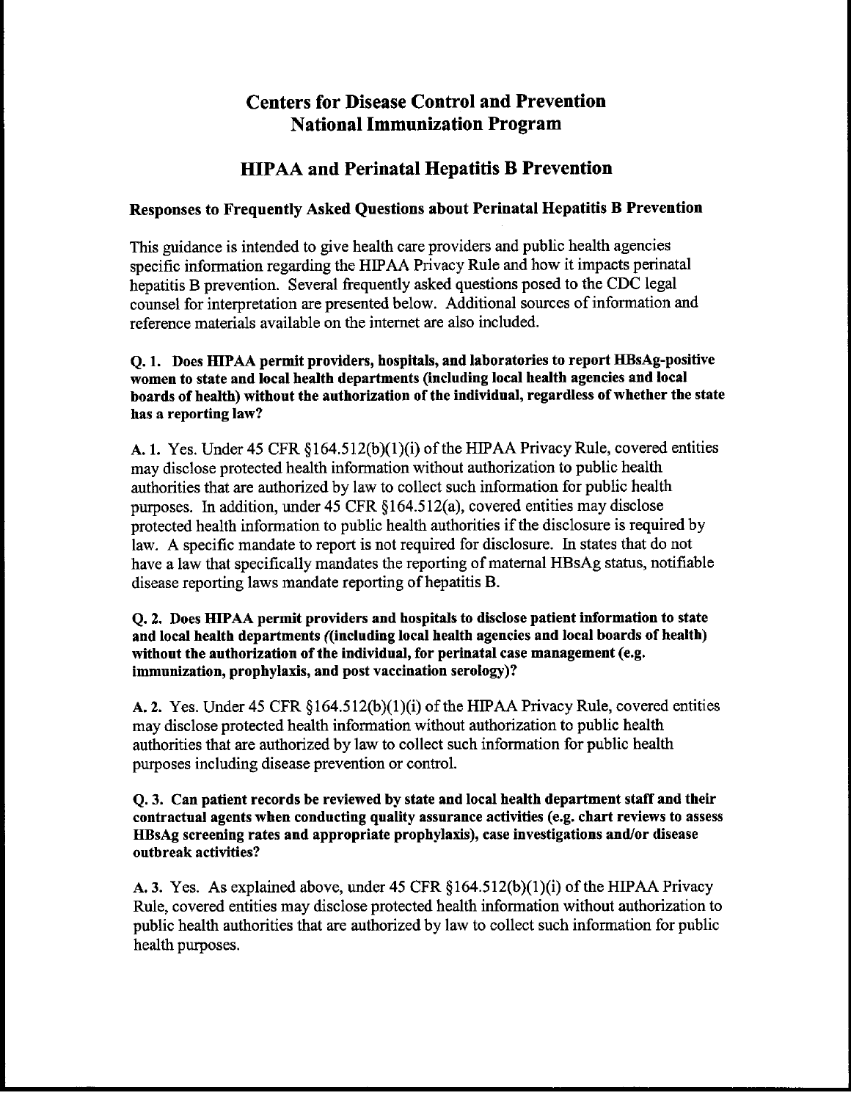# **Centers for Disease Control and Prevention National Immunization Program**

# **HIPAA and Perinatal Hepatitis B Prevention**

# Responses to Frequently Asked Questions about Perinatal Hepatitis B Prevention

This guidance is intended to give health care providers and public health agencies specific information regarding the HIPAA Privacy Rule and how it impacts perinatal hepatitis B prevention. Several frequently asked questions posed to the CDC legal counsel for interpretation are presented below. Additional sources of information and reference materials available on the internet are also included.

### O. 1. Does HIPAA permit providers, hospitals, and laboratories to report HBsAg-positive women to state and local health departments (including local health agencies and local boards of health) without the authorization of the individual, regardless of whether the state has a reporting law?

A. 1. Yes. Under 45 CFR  $\S 164.512(b)(1)(i)$  of the HIPAA Privacy Rule, covered entities may disclose protected health information without authorization to public health authorities that are authorized by law to collect such information for public health purposes. In addition, under 45 CFR §164.512(a), covered entities may disclose protected health information to public health authorities if the disclosure is required by law. A specific mandate to report is not required for disclosure. In states that do not have a law that specifically mandates the reporting of maternal HBsAg status, notifiable disease reporting laws mandate reporting of hepatitis B.

### O. 2. Does HIPAA permit providers and hospitals to disclose patient information to state and local health departments ((including local health agencies and local boards of health) without the authorization of the individual, for perinatal case management (e.g. immunization, prophylaxis, and post vaccination serology)?

A. 2. Yes. Under 45 CFR  $\S 164.512(b)(1)(i)$  of the HIPAA Privacy Rule, covered entities may disclose protected health information without authorization to public health authorities that are authorized by law to collect such information for public health purposes including disease prevention or control.

### Q. 3. Can patient records be reviewed by state and local health department staff and their contractual agents when conducting quality assurance activities (e.g. chart reviews to assess HBsAg screening rates and appropriate prophylaxis), case investigations and/or disease outbreak activities?

A. 3. Yes. As explained above, under 45 CFR  $\S164.512(b)(1)(i)$  of the HIPAA Privacy Rule, covered entities may disclose protected health information without authorization to public health authorities that are authorized by law to collect such information for public health purposes.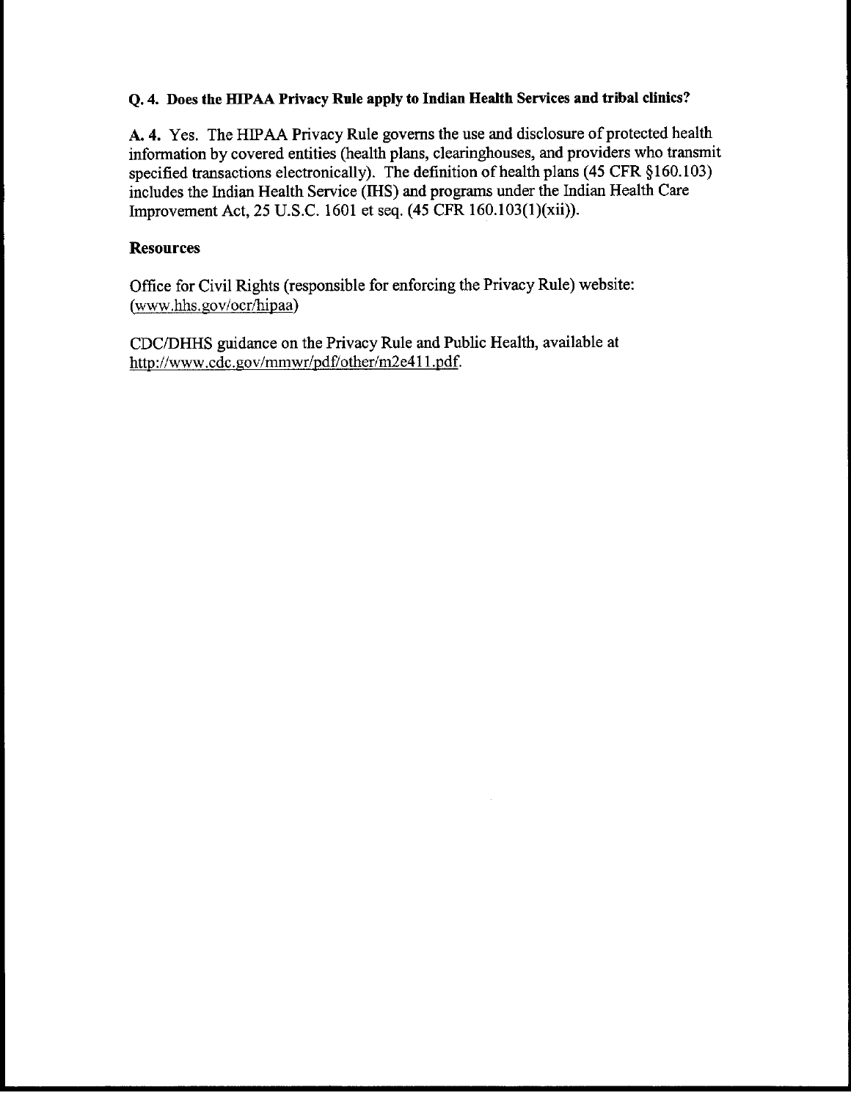## O. 4. Does the HIPAA Privacy Rule apply to Indian Health Services and tribal clinics?

A. 4. Yes. The HIPAA Privacy Rule governs the use and disclosure of protected health information by covered entities (health plans, clearinghouses, and providers who transmit specified transactions electronically). The definition of health plans (45 CFR §160.103) includes the Indian Health Service (IHS) and programs under the Indian Health Care Improvement Act, 25 U.S.C. 1601 et seq. (45 CFR 160.103(1)(xii)).

## **Resources**

Office for Civil Rights (responsible for enforcing the Privacy Rule) website: (www.hhs.gov/ocr/hipaa)

CDC/DHHS guidance on the Privacy Rule and Public Health, available at http://www.cdc.gov/mmwr/pdf/other/m2e411.pdf.